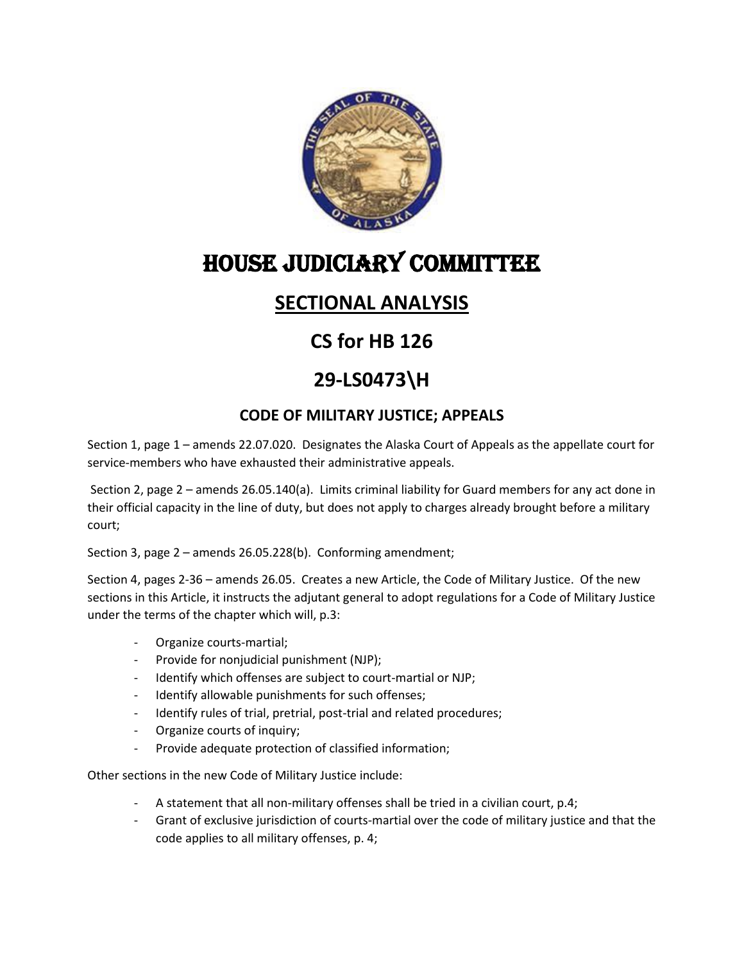

# HOUSE JUDICIARY Committee

#### **SECTIONAL ANALYSIS**

## **CS for HB 126**

### **29-LS0473\H**

#### **CODE OF MILITARY JUSTICE; APPEALS**

Section 1, page 1 – amends 22.07.020. Designates the Alaska Court of Appeals as the appellate court for service-members who have exhausted their administrative appeals.

Section 2, page 2 – amends 26.05.140(a). Limits criminal liability for Guard members for any act done in their official capacity in the line of duty, but does not apply to charges already brought before a military court;

Section 3, page 2 – amends 26.05.228(b). Conforming amendment;

Section 4, pages 2-36 – amends 26.05. Creates a new Article, the Code of Military Justice. Of the new sections in this Article, it instructs the adjutant general to adopt regulations for a Code of Military Justice under the terms of the chapter which will, p.3:

- Organize courts-martial;
- Provide for nonjudicial punishment (NJP);
- Identify which offenses are subject to court-martial or NJP;
- Identify allowable punishments for such offenses;
- Identify rules of trial, pretrial, post-trial and related procedures;
- Organize courts of inquiry;
- Provide adequate protection of classified information;

Other sections in the new Code of Military Justice include:

- A statement that all non-military offenses shall be tried in a civilian court, p.4;
- Grant of exclusive jurisdiction of courts-martial over the code of military justice and that the code applies to all military offenses, p. 4;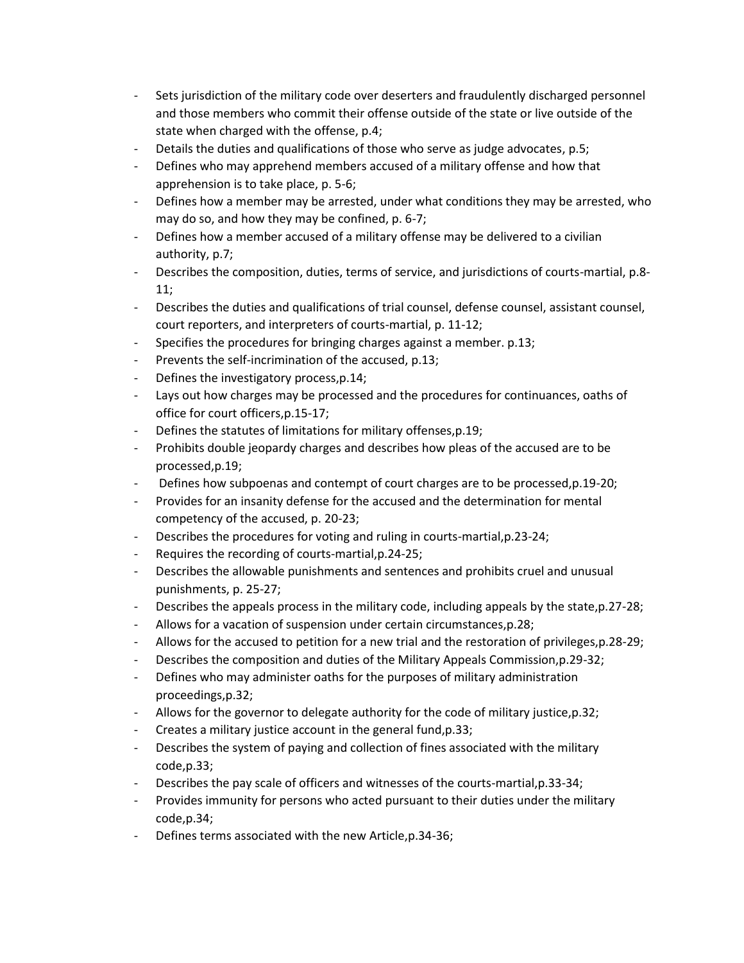- Sets jurisdiction of the military code over deserters and fraudulently discharged personnel and those members who commit their offense outside of the state or live outside of the state when charged with the offense, p.4;
- Details the duties and qualifications of those who serve as judge advocates, p.5;
- Defines who may apprehend members accused of a military offense and how that apprehension is to take place, p. 5-6;
- Defines how a member may be arrested, under what conditions they may be arrested, who may do so, and how they may be confined, p. 6-7;
- Defines how a member accused of a military offense may be delivered to a civilian authority, p.7;
- Describes the composition, duties, terms of service, and jurisdictions of courts-martial, p.8- 11;
- Describes the duties and qualifications of trial counsel, defense counsel, assistant counsel, court reporters, and interpreters of courts-martial, p. 11-12;
- Specifies the procedures for bringing charges against a member. p.13;
- Prevents the self-incrimination of the accused, p.13;
- Defines the investigatory process, p.14;
- Lays out how charges may be processed and the procedures for continuances, oaths of office for court officers,p.15-17;
- Defines the statutes of limitations for military offenses,p.19;
- Prohibits double jeopardy charges and describes how pleas of the accused are to be processed,p.19;
- Defines how subpoenas and contempt of court charges are to be processed, p.19-20;
- Provides for an insanity defense for the accused and the determination for mental competency of the accused, p. 20-23;
- Describes the procedures for voting and ruling in courts-martial, p.23-24;
- Requires the recording of courts-martial,p.24-25;
- Describes the allowable punishments and sentences and prohibits cruel and unusual punishments, p. 25-27;
- Describes the appeals process in the military code, including appeals by the state, p.27-28;
- Allows for a vacation of suspension under certain circumstances,p.28;
- Allows for the accused to petition for a new trial and the restoration of privileges, p.28-29;
- Describes the composition and duties of the Military Appeals Commission, p.29-32;
- Defines who may administer oaths for the purposes of military administration proceedings,p.32;
- Allows for the governor to delegate authority for the code of military justice,  $p.32$ ;
- Creates a military justice account in the general fund, p.33;
- Describes the system of paying and collection of fines associated with the military code,p.33;
- Describes the pay scale of officers and witnesses of the courts-martial,p.33-34;
- Provides immunity for persons who acted pursuant to their duties under the military code,p.34;
- Defines terms associated with the new Article, p.34-36;